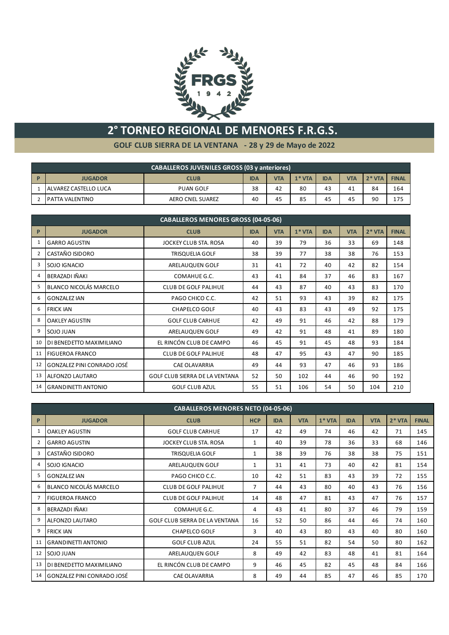

## **2° TORNEO REGIONAL DE MENORES F.R.G.S.**

**GOLF CLUB SIERRA DE LA VENTANA - 28 y 29 de Mayo de 2022**

|              | <b>CABALLEROS JUVENILES GROSS (03 y anteriores)</b>                                                         |                         |    |    |    |    |    |              |     |  |
|--------------|-------------------------------------------------------------------------------------------------------------|-------------------------|----|----|----|----|----|--------------|-----|--|
| $\mathbf{P}$ | $2*VTA$<br>$1*VTA$<br><b>IDA</b><br><b>VTA</b><br><b>VTA</b><br><b>IDA</b><br><b>JUGADOR</b><br><b>CLUB</b> |                         |    |    |    |    |    | <b>FINAL</b> |     |  |
|              | ALVAREZ CASTELLO LUCA                                                                                       | <b>PUAN GOLF</b>        | 38 | 42 | 80 | 43 | 41 | 84           | 164 |  |
|              | I PATTA VALENTINO                                                                                           | <b>AERO CNEL SUAREZ</b> | 40 | 45 | 85 | 45 | 45 | 90           | 175 |  |

|    | <b>CABALLEROS MENORES GROSS (04-05-06)</b>          |                                       |            |            |         |            |            |         |              |  |  |
|----|-----------------------------------------------------|---------------------------------------|------------|------------|---------|------------|------------|---------|--------------|--|--|
| P  | <b>JUGADOR</b>                                      | <b>CLUB</b>                           | <b>IDA</b> | <b>VTA</b> | $1*VTA$ | <b>IDA</b> | <b>VTA</b> | $2*VTA$ | <b>FINAL</b> |  |  |
| 1  | <b>GARRO AGUSTIN</b>                                | JOCKEY CLUB STA. ROSA                 | 40         | 39         | 79      | 36         | 33         | 69      | 148          |  |  |
| 2  | CASTAÑO ISIDORO                                     | <b>TRISQUELIA GOLF</b>                | 38         | 39         | 77      | 38         | 38         | 76      | 153          |  |  |
| 3  | SOJO IGNACIO                                        | ARELAUQUEN GOLF                       | 31         | 41         | 72      | 40         | 42         | 82      | 154          |  |  |
| 4  | BERAZADI IÑAKI                                      | COMAHUE G.C.                          | 43         | 41         | 84      | 37         | 46         | 83      | 167          |  |  |
| 5  | <b>BLANCO NICOLÁS MARCELO</b>                       | <b>CLUB DE GOLF PALIHUE</b>           | 44         | 43         | 87      | 40         | 43         | 83      | 170          |  |  |
| 6  | <b>GONZALEZ IAN</b>                                 | PAGO CHICO C.C.                       | 42         | 51         | 93      | 43         | 39         | 82      | 175          |  |  |
| 6  | <b>FRICK IAN</b>                                    | <b>CHAPELCO GOLF</b>                  | 40         | 43         | 83      | 43         | 49         | 92      | 175          |  |  |
| 8  | <b>OAKLEY AGUSTIN</b>                               | <b>GOLF CLUB CARHUE</b>               | 42         | 49         | 91      | 46         | 42         | 88      | 179          |  |  |
| 9  | SOJO JUAN                                           | ARELAUQUEN GOLF                       | 49         | 42         | 91      | 48         | 41         | 89      | 180          |  |  |
| 10 | DI BENEDETTO MAXIMILIANO                            | EL RINCÓN CLUB DE CAMPO               | 46         | 45         | 91      | 45         | 48         | 93      | 184          |  |  |
| 11 | <b>FIGUEROA FRANCO</b>                              | <b>CLUB DE GOLF PALIHUE</b>           | 48         | 47         | 95      | 43         | 47         | 90      | 185          |  |  |
| 12 | GONZALEZ PINI CONRADO JOSÉ                          | <b>CAE OLAVARRIA</b>                  | 49         | 44         | 93      | 47         | 46         | 93      | 186          |  |  |
| 13 | <b>ALFONZO LAUTARO</b>                              | <b>GOLF CLUB SIERRA DE LA VENTANA</b> | 52         | 50         | 102     | 44         | 46         | 90      | 192          |  |  |
| 14 | <b>GRANDINETTI ANTONIO</b><br><b>GOLF CLUB AZUL</b> |                                       | 55         | 51         | 106     | 54         | 50         | 104     | 210          |  |  |

|                | <b>CABALLEROS MENORES NETO (04-05-06)</b> |                                       |                |            |            |         |            |            |         |              |  |
|----------------|-------------------------------------------|---------------------------------------|----------------|------------|------------|---------|------------|------------|---------|--------------|--|
| P              | <b>JUGADOR</b>                            | <b>CLUB</b>                           | <b>HCP</b>     | <b>IDA</b> | <b>VTA</b> | $1*VTA$ | <b>IDA</b> | <b>VTA</b> | $2*VTA$ | <b>FINAL</b> |  |
| 1              | <b>OAKLEY AGUSTIN</b>                     | <b>GOLF CLUB CARHUE</b>               | 17             | 42         | 49         | 74      | 46         | 42         | 71      | 145          |  |
| $\overline{2}$ | <b>GARRO AGUSTIN</b>                      | JOCKEY CLUB STA, ROSA                 | 1              | 40         | 39         | 78      | 36         | 33         | 68      | 146          |  |
| 3              | CASTAÑO ISIDORO                           | <b>TRISQUELIA GOLF</b>                | 1              | 38         | 39         | 76      | 38         | 38         | 75      | 151          |  |
| 4              | SOJO IGNACIO                              | ARELAUQUEN GOLF                       | 1              | 31         | 41         | 73      | 40         | 42         | 81      | 154          |  |
| 5              | <b>GONZALEZ IAN</b>                       | PAGO CHICO C.C.                       | 10             | 42         | 51         | 83      | 43         | 39         | 72      | 155          |  |
| 6              | BLANCO NICOLÁS MARCELO                    | <b>CLUB DE GOLF PALIHUE</b>           | $\overline{7}$ | 44         | 43         | 80      | 40         | 43         | 76      | 156          |  |
| $\overline{7}$ | <b>FIGUEROA FRANCO</b>                    | <b>CLUB DE GOLF PALIHUE</b>           | 14             | 48         | 47         | 81      | 43         | 47         | 76      | 157          |  |
| 8              | BERAZADI IÑAKI                            | COMAHUE G.C.                          | 4              | 43         | 41         | 80      | 37         | 46         | 79      | 159          |  |
| 9              | ALFONZO LAUTARO                           | <b>GOLF CLUB SIERRA DE LA VENTANA</b> | 16             | 52         | 50         | 86      | 44         | 46         | 74      | 160          |  |
| 9              | <b>FRICK IAN</b>                          | <b>CHAPELCO GOLF</b>                  | 3              | 40         | 43         | 80      | 43         | 40         | 80      | 160          |  |
| 11             | <b>GRANDINETTI ANTONIO</b>                | <b>GOLF CLUB AZUL</b>                 | 24             | 55         | 51         | 82      | 54         | 50         | 80      | 162          |  |
| 12             | SOJO JUAN                                 | ARELAUQUEN GOLF                       | 8              | 49         | 42         | 83      | 48         | 41         | 81      | 164          |  |
| 13             | DI BENEDETTO MAXIMILIANO                  | EL RINCÓN CLUB DE CAMPO               | 9              | 46         | 45         | 82      | 45         | 48         | 84      | 166          |  |
| 14             | GONZALEZ PINI CONRADO JOSÉ                | 8                                     | 49             | 44         | 85         | 47      | 46         | 85         | 170     |              |  |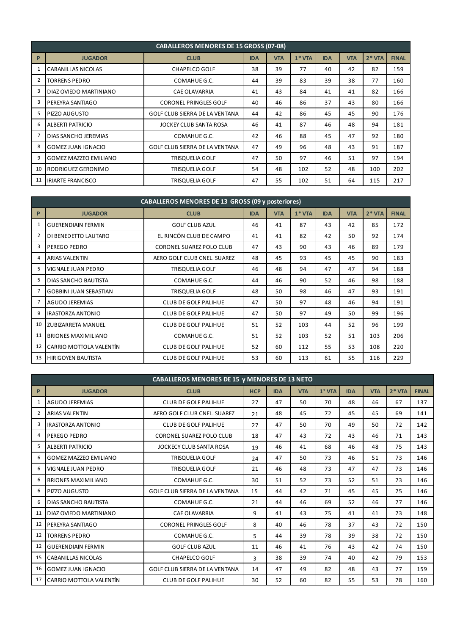|                | <b>CABALLEROS MENORES DE 15 GROSS (07-08)</b> |                                       |            |            |         |            |            |         |              |  |  |
|----------------|-----------------------------------------------|---------------------------------------|------------|------------|---------|------------|------------|---------|--------------|--|--|
| P              | <b>JUGADOR</b>                                | <b>CLUB</b>                           | <b>IDA</b> | <b>VTA</b> | $1*VTA$ | <b>IDA</b> | <b>VTA</b> | $2*VTA$ | <b>FINAL</b> |  |  |
| 1              | <b>CABANILLAS NICOLAS</b>                     | <b>CHAPELCO GOLF</b>                  | 38         | 39         | 77      | 40         | 42         | 82      | 159          |  |  |
| $\overline{2}$ | <b>TORRENS PEDRO</b>                          | COMAHUE G.C.                          |            | 39         | 83      | 39         | 38         | 77      | 160          |  |  |
| 3              | DIAZ OVIEDO MARTINIANO                        | <b>CAE OLAVARRIA</b>                  | 41         | 43         | 84      | 41         | 41         | 82      | 166          |  |  |
| 3              | PEREYRA SANTIAGO                              | <b>CORONEL PRINGLES GOLF</b>          | 40         | 46         | 86      | 37         | 43         | 80      | 166          |  |  |
| 5              | PIZZO AUGUSTO                                 | <b>GOLF CLUB SIERRA DE LA VENTANA</b> | 44         | 42         | 86      | 45         | 45         | 90      | 176          |  |  |
| 6              | <b>ALBERTI PATRICIO</b>                       | JOCKEY CLUB SANTA ROSA                | 46         | 41         | 87      | 46         | 48         | 94      | 181          |  |  |
|                | DIAS SANCHO JEREMIAS                          | COMAHUE G.C.                          | 42         | 46         | 88      | 45         | 47         | 92      | 180          |  |  |
| 8              | <b>GOMEZ JUAN IGNACIO</b>                     | <b>GOLF CLUB SIERRA DE LA VENTANA</b> | 47         | 49         | 96      | 48         | 43         | 91      | 187          |  |  |
| 9              | <b>GOMEZ MAZZEO EMILIANO</b>                  | <b>TRISQUELIA GOLF</b>                | 47         | 50         | 97      | 46         | 51         | 97      | 194          |  |  |
| 10             | RODRIGUEZ GERONIMO                            | <b>TRISQUELIA GOLF</b>                | 54         | 48         | 102     | 52         | 48         | 100     | 202          |  |  |
| 11             | <b>IRIARTE FRANCISCO</b>                      | <b>TRISQUELIA GOLF</b>                | 47         | 55         | 102     | 51         | 64         | 115     | 217          |  |  |

|                | CABALLEROS MENORES DE 13 GROSS (09 y posteriores) |                             |            |            |         |            |            |         |              |  |
|----------------|---------------------------------------------------|-----------------------------|------------|------------|---------|------------|------------|---------|--------------|--|
| $\mathsf{P}$   | <b>JUGADOR</b>                                    | <b>CLUB</b>                 | <b>IDA</b> | <b>VTA</b> | $1*VTA$ | <b>IDA</b> | <b>VTA</b> | $2*VTA$ | <b>FINAL</b> |  |
|                | <b>GUERENDIAIN FERMIN</b>                         | <b>GOLF CLUB AZUL</b>       | 46         | 41         | 87      | 43         | 42         | 85      | 172          |  |
| $\overline{2}$ | DI BENEDETTO LAUTARO                              | EL RINCÓN CLUB DE CAMPO     | 41         | 41         | 82      | 42         | 50         | 92      | 174          |  |
| 3              | PEREGO PEDRO                                      | CORONEL SUAREZ POLO CLUB    | 47         | 43         | 90      | 43         | 46         | 89      | 179          |  |
| 4              | <b>ARIAS VALENTIN</b>                             | AERO GOLF CLUB CNEL. SUAREZ | 48         | 45         | 93      | 45         | 45         | 90      | 183          |  |
| 5              | VIGNALE JUAN PEDRO                                | <b>TRISQUELIA GOLF</b>      | 46         | 48         | 94      | 47         | 47         | 94      | 188          |  |
| 5              | <b>DIAS SANCHO BAUTISTA</b>                       | COMAHUE G.C.                | 44         | 46         | 90      | 52         | 46         | 98      | 188          |  |
|                | <b>GOBBINI JUAN SEBASTIAN</b>                     | <b>TRISQUELIA GOLF</b>      | 48         | 50         | 98      | 46         | 47         | 93      | 191          |  |
| 7              | <b>AGUDO JEREMIAS</b>                             | <b>CLUB DE GOLF PALIHUE</b> | 47         | 50         | 97      | 48         | 46         | 94      | 191          |  |
| 9              | <b>IRASTORZA ANTONIO</b>                          | <b>CLUB DE GOLF PALIHUE</b> | 47         | 50         | 97      | 49         | 50         | 99      | 196          |  |
| 10             | <b>ZUBIZARRETA MANUEL</b>                         | <b>CLUB DE GOLF PALIHUE</b> | 51         | 52         | 103     | 44         | 52         | 96      | 199          |  |
| 11             | <b>BRIONES MAXIMILIANO</b>                        | COMAHUE G.C.                | 51         | 52         | 103     | 52         | 51         | 103     | 206          |  |
| 12             | CARRIO MOTTOLA VALENTÍN                           | <b>CLUB DE GOLF PALIHUE</b> | 52         | 60         | 112     | 55         | 53         | 108     | 220          |  |
| 13             | <b>HIRIGOYEN BAUTISTA</b>                         | 60                          | 113        | 61         | 55      | 116        | 229        |         |              |  |

|    | <b>CABALLEROS MENORES DE 15 y MENORES DE 13 NETO</b>   |                                       |            |            |            |          |            |            |         |              |  |
|----|--------------------------------------------------------|---------------------------------------|------------|------------|------------|----------|------------|------------|---------|--------------|--|
| P  | <b>JUGADOR</b>                                         | <b>CLUB</b>                           | <b>HCP</b> | <b>IDA</b> | <b>VTA</b> | $1°$ VTA | <b>IDA</b> | <b>VTA</b> | $2*VTA$ | <b>FINAL</b> |  |
| 1  | AGUDO JEREMIAS                                         | <b>CLUB DE GOLF PALIHUE</b>           | 27         | 47         | 50         | 70       | 48         | 46         | 67      | 137          |  |
| 2  | <b>ARIAS VALENTIN</b>                                  | AERO GOLF CLUB CNEL. SUAREZ           | 21         | 48         | 45         | 72       | 45         | 45         | 69      | 141          |  |
| 3  | <b>IRASTORZA ANTONIO</b>                               | <b>CLUB DE GOLF PALIHUE</b>           | 27         | 47         | 50         | 70       | 49         | 50         | 72      | 142          |  |
| 4  | PEREGO PEDRO                                           | <b>CORONEL SUAREZ POLO CLUB</b>       | 18         | 47         | 43         | 72       | 43         | 46         | 71      | 143          |  |
| 5  | <b>ALBERTI PATRICIO</b>                                | JOCKECY CLUB SANTA ROSA               | 19         | 46         | 41         | 68       | 46         | 48         | 75      | 143          |  |
| 6  | <b>GOMEZ MAZZEO EMILIANO</b>                           | <b>TRISQUELIA GOLF</b>                | 24         | 47         | 50         | 73       | 46         | 51         | 73      | 146          |  |
| 6  | VIGNALE JUAN PEDRO                                     | <b>TRISQUELIA GOLF</b>                | 21         | 46         | 48         | 73       | 47         | 47         | 73      | 146          |  |
| 6  | <b>BRIONES MAXIMILIANO</b>                             | COMAHUE G.C.                          | 30         | 51         | 52         | 73       | 52         | 51         | 73      | 146          |  |
| 6  | <b>PIZZO AUGUSTO</b>                                   | <b>GOLF CLUB SIERRA DE LA VENTANA</b> | 15         | 44         | 42         | 71       | 45         | 45         | 75      | 146          |  |
| 6  | <b>DIAS SANCHO BAUTISTA</b>                            | COMAHUE G.C.                          | 21         | 44         | 46         | 69       | 52         | 46         | 77      | 146          |  |
| 11 | DIAZ OVIEDO MARTINIANO                                 | <b>CAE OLAVARRIA</b>                  | 9          | 41         | 43         | 75       | 41         | 41         | 73      | 148          |  |
| 12 | PEREYRA SANTIAGO                                       | <b>CORONEL PRINGLES GOLF</b>          | 8          | 40         | 46         | 78       | 37         | 43         | 72      | 150          |  |
| 12 | <b>TORRENS PEDRO</b>                                   | COMAHUE G.C.                          | 5          | 44         | 39         | 78       | 39         | 38         | 72      | 150          |  |
| 12 | <b>GUERENDIAIN FERMIN</b>                              | <b>GOLF CLUB AZUL</b>                 | 11         | 46         | 41         | 76       | 43         | 42         | 74      | 150          |  |
| 15 | <b>CABANILLAS NICOLAS</b>                              | <b>CHAPELCO GOLF</b>                  | 3          | 38         | 39         | 74       | 40         | 42         | 79      | 153          |  |
| 16 | <b>GOMEZ JUAN IGNACIO</b>                              | <b>GOLF CLUB SIERRA DE LA VENTANA</b> | 14         | 47         | 49         | 82       | 48         | 43         | 77      | 159          |  |
| 17 | CARRIO MOTTOLA VALENTÍN<br><b>CLUB DE GOLF PALIHUE</b> |                                       | 30         | 52         | 60         | 82       | 55         | 53         | 78      | 160          |  |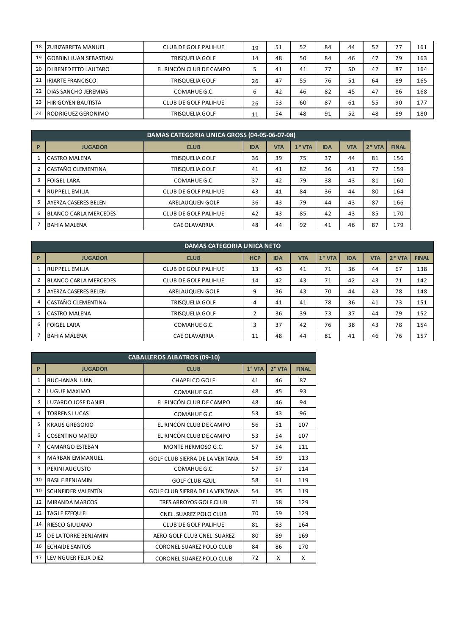| 18 | <b>ZUBIZARRETA MANUEL</b>     | <b>CLUB DE GOLF PALIHUE</b> | 19 | 51 | 52 | 84 | 44 | 52 | 77 | 161 |
|----|-------------------------------|-----------------------------|----|----|----|----|----|----|----|-----|
| 19 | <b>GOBBINI JUAN SEBASTIAN</b> | <b>TRISQUELIA GOLF</b>      | 14 | 48 | 50 | 84 | 46 | 47 | 79 | 163 |
| 20 | DI BENEDETTO LAUTARO          | EL RINCÓN CLUB DE CAMPO     |    | 41 | 41 | 77 | 50 | 42 | 87 | 164 |
| 21 | <b>IRIARTE FRANCISCO</b>      | TRISQUELIA GOLF             | 26 | 47 | 55 | 76 | 51 | 64 | 89 | 165 |
| 22 | <b>DIAS SANCHO JEREMIAS</b>   | COMAHUE G.C.                | b  | 42 | 46 | 82 | 45 | 47 | 86 | 168 |
| 23 | <b>HIRIGOYEN BAUTISTA</b>     | <b>CLUB DE GOLF PALIHUE</b> | 26 | 53 | 60 | 87 | 61 | 55 | 90 | 177 |
| 24 | l RODRIGUEZ GERONIMO          | TRISQUELIA GOLF             | 11 | 54 | 48 | 91 | 52 | 48 | 89 | 180 |

|   | DAMAS CATEGORIA UNICA GROSS (04-05-06-07-08) |                             |            |            |         |            |            |         |              |  |
|---|----------------------------------------------|-----------------------------|------------|------------|---------|------------|------------|---------|--------------|--|
| P | <b>JUGADOR</b>                               | <b>CLUB</b>                 | <b>IDA</b> | <b>VTA</b> | $1*VTA$ | <b>IDA</b> | <b>VTA</b> | $2*VTA$ | <b>FINAL</b> |  |
|   | <b>CASTRO MALENA</b>                         | <b>TRISQUELIA GOLF</b>      | 36         | 39         | 75      | 37         | 44         | 81      | 156          |  |
|   | CASTAÑO CLEMENTINA                           | <b>TRISQUELIA GOLF</b>      | 41         | 41         | 82      | 36         | 41         | 77      | 159          |  |
|   | <b>FOIGEL LARA</b>                           | COMAHUE G.C.                | 37         | 42         | 79      | 38         | 43         | 81      | 160          |  |
| 4 | <b>RUPPELL EMILIA</b>                        | <b>CLUB DE GOLF PALIHUE</b> | 43         | 41         | 84      | 36         | 44         | 80      | 164          |  |
|   | AYERZA CASERES BELEN                         | ARELAUQUEN GOLF             | 36         | 43         | 79      | 44         | 43         | 87      | 166          |  |
| 6 | <b>BLANCO CARLA MERCEDES</b>                 | <b>CLUB DE GOLF PALIHUE</b> | 42         | 43         | 85      | 42         | 43         | 85      | 170          |  |
|   | <b>BAHIA MALENA</b>                          | <b>CAE OLAVARRIA</b>        | 48         | 44         | 92      | 41         | 46         | 87      | 179          |  |

|              | <b>DAMAS CATEGORIA UNICA NETO</b> |                             |            |            |            |         |            |            |         |              |  |
|--------------|-----------------------------------|-----------------------------|------------|------------|------------|---------|------------|------------|---------|--------------|--|
| $\mathsf{P}$ | <b>JUGADOR</b>                    | <b>CLUB</b>                 | <b>HCP</b> | <b>IDA</b> | <b>VTA</b> | $1*VTA$ | <b>IDA</b> | <b>VTA</b> | $2*VTA$ | <b>FINAL</b> |  |
|              | <b>RUPPELL EMILIA</b>             | CLUB DE GOLF PALIHUE        | 13         | 43         | 41         | 71      | 36         | 44         | 67      | 138          |  |
|              | <b>BLANCO CARLA MERCEDES</b>      | <b>CLUB DE GOLF PALIHUE</b> | 14         | 42         | 43         | 71      | 42         | 43         | 71      | 142          |  |
| 3            | <b>AYERZA CASERES BELEN</b>       | ARELAUQUEN GOLF             | ٩          | 36         | 43         | 70      | 44         | 43         | 78      | 148          |  |
| 4            | CASTAÑO CLEMENTINA                | <b>TRISQUELIA GOLF</b>      | 4          | 41         | 41         | 78      | 36         | 41         | 73      | 151          |  |
|              | <b>CASTRO MALENA</b>              | <b>TRISQUELIA GOLF</b>      |            | 36         | 39         | 73      | 37         | 44         | 79      | 152          |  |
| 6            | <b>FOIGEL LARA</b>                | COMAHUE G.C.                |            | 37         | 42         | 76      | 38         | 43         | 78      | 154          |  |
|              | <b>BAHIA MALENA</b>               | <b>CAE OLAVARRIA</b>        | 11         | 48         | 44         | 81      | 41         | 46         | 76      | 157          |  |

|                | <b>CABALLEROS ALBATROS (09-10)</b> |                                 |          |          |              |  |  |  |  |  |  |
|----------------|------------------------------------|---------------------------------|----------|----------|--------------|--|--|--|--|--|--|
| P              | <b>JUGADOR</b>                     | <b>CLUB</b>                     | $1°$ VTA | $2°$ VTA | <b>FINAL</b> |  |  |  |  |  |  |
| 1              | <b>BUCHANAN JUAN</b>               | <b>CHAPELCO GOLF</b>            | 41       | 46       | 87           |  |  |  |  |  |  |
| $\overline{2}$ | LUGUE MAXIMO                       | COMAHUE G.C.                    | 48       | 45       | 93           |  |  |  |  |  |  |
| 3              | <b>LUZARDO JOSE DANIEL</b>         | EL RINCÓN CLUB DE CAMPO         | 48       | 46       | 94           |  |  |  |  |  |  |
| 4              | <b>TORRENS LUCAS</b>               | COMAHUE G.C.                    | 53       | 43       | 96           |  |  |  |  |  |  |
| 5              | <b>KRAUS GREGORIO</b>              | EL RINCÓN CLUB DE CAMPO         | 56       | 51       | 107          |  |  |  |  |  |  |
| 6              | <b>COSENTINO MATEO</b>             | EL RINCÓN CLUB DE CAMPO         | 53       | 54       | 107          |  |  |  |  |  |  |
| $\overline{7}$ | <b>CAMARGO ESTEBAN</b>             | MONTE HERMOSO G.C.              | 57       | 54       | 111          |  |  |  |  |  |  |
| 8              | <b>MARBAN EMMANUEL</b>             | GOLF CLUB SIERRA DE LA VENTANA  | 54       | 59       | 113          |  |  |  |  |  |  |
| 9              | PERINI AUGUSTO                     | COMAHUE G.C.                    | 57       | 57       | 114          |  |  |  |  |  |  |
| 10             | <b>BASILE BENJAMIN</b>             | <b>GOLF CLUB AZUL</b>           | 58       | 61       | 119          |  |  |  |  |  |  |
| 10             | <b>SCHNEIDER VALENTÍN</b>          | GOLF CLUB SIERRA DE LA VENTANA  | 54       | 65       | 119          |  |  |  |  |  |  |
| 12             | <b>MIRANDA MARCOS</b>              | TRES ARROYOS GOLF CLUB          | 71       | 58       | 129          |  |  |  |  |  |  |
| 12             | <b>TAGLE EZEQUIEL</b>              | <b>CNEL. SUAREZ POLO CLUB</b>   | 70       | 59       | 129          |  |  |  |  |  |  |
| 14             | RIESCO GIULIANO                    | <b>CLUB DE GOLF PALIHUE</b>     | 81       | 83       | 164          |  |  |  |  |  |  |
| 15             | DE LA TORRE BENJAMIN               | AERO GOLF CLUB CNEL. SUAREZ     | 80       | 89       | 169          |  |  |  |  |  |  |
| 16             | <b>ECHAIDE SANTOS</b>              | <b>CORONEL SUAREZ POLO CLUB</b> | 84       | 86       | 170          |  |  |  |  |  |  |
| 17             | LEVINGUER FELIX DIEZ               | <b>CORONEL SUAREZ POLO CLUB</b> | 72       | X        | X            |  |  |  |  |  |  |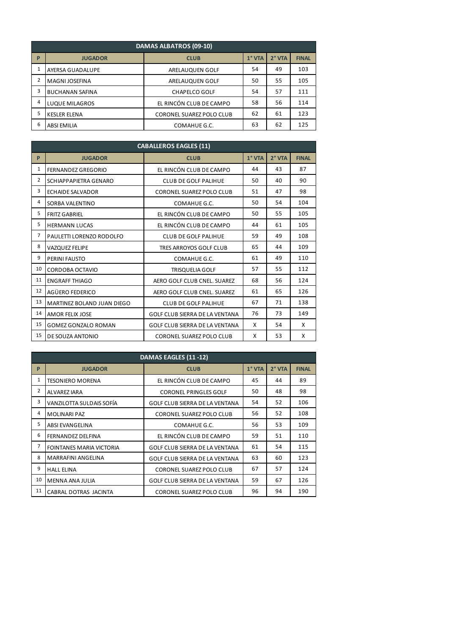|              | DAMAS ALBATROS (09-10) |                                 |          |          |              |  |  |  |  |  |  |
|--------------|------------------------|---------------------------------|----------|----------|--------------|--|--|--|--|--|--|
| P            | <b>JUGADOR</b>         | <b>CLUB</b>                     | $1°$ VTA | $2°$ VTA | <b>FINAL</b> |  |  |  |  |  |  |
| $\mathbf{1}$ | AYERSA GUADALUPE       | ARELAUQUEN GOLF                 | 54       | 49       | 103          |  |  |  |  |  |  |
| 2            | MAGNI JOSEFINA         | ARELAUQUEN GOLF                 | 50       | 55       | 105          |  |  |  |  |  |  |
| 3            | <b>BUCHANAN SAFINA</b> | <b>CHAPELCO GOLF</b>            | 54       | 57       | 111          |  |  |  |  |  |  |
| 4            | <b>LUQUE MILAGROS</b>  | EL RINCÓN CLUB DE CAMPO         | 58       | 56       | 114          |  |  |  |  |  |  |
| 5            | <b>KESLER ELENA</b>    | <b>CORONEL SUAREZ POLO CLUB</b> | 62       | 61       | 123          |  |  |  |  |  |  |
| 6            | <b>ABSI EMILIA</b>     | COMAHUE G.C.                    | 63       | 62       | 125          |  |  |  |  |  |  |

|                | <b>CABALLEROS EAGLES (11)</b> |                                       |          |          |              |  |  |  |  |  |  |
|----------------|-------------------------------|---------------------------------------|----------|----------|--------------|--|--|--|--|--|--|
| P              | <b>JUGADOR</b>                | <b>CLUB</b>                           | $1°$ VTA | $2°$ VTA | <b>FINAL</b> |  |  |  |  |  |  |
| 1              | FERNANDEZ GREGORIO            | EL RINCÓN CLUB DE CAMPO               | 44       | 43       | 87           |  |  |  |  |  |  |
| $\overline{2}$ | SCHIAPPAPIETRA GENARO         | <b>CLUB DE GOLF PALIHUE</b>           | 50       | 40       | 90           |  |  |  |  |  |  |
| 3              | <b>ECHAIDE SALVADOR</b>       | CORONEL SUAREZ POLO CLUB              | 51       | 47       | 98           |  |  |  |  |  |  |
| 4              | SORBA VALENTINO               | COMAHUE G.C.                          | 50       | 54       | 104          |  |  |  |  |  |  |
| 5              | <b>FRITZ GABRIEL</b>          | EL RINCÓN CLUB DE CAMPO               | 50       | 55       | 105          |  |  |  |  |  |  |
| 5              | <b>HERMANN LUCAS</b>          | EL RINCÓN CLUB DE CAMPO               | 44       | 61       | 105          |  |  |  |  |  |  |
| $\overline{7}$ | PAULETTI LORENZO RODOLFO      | <b>CLUB DE GOLF PALIHUE</b>           | 59       | 49       | 108          |  |  |  |  |  |  |
| 8              | <b>VAZQUEZ FELIPE</b>         | TRES ARROYOS GOLF CLUB                | 65       | 44       | 109          |  |  |  |  |  |  |
| 9              | <b>PERINI FAUSTO</b>          | COMAHUE G.C.                          | 61       | 49       | 110          |  |  |  |  |  |  |
| 10             | <b>CORDOBA OCTAVIO</b>        | <b>TRISQUELIA GOLF</b>                | 57       | 55       | 112          |  |  |  |  |  |  |
| 11             | <b>ENGRAFF THIAGO</b>         | AERO GOLF CLUB CNEL. SUAREZ           | 68       | 56       | 124          |  |  |  |  |  |  |
| 12             | AGÜERO FEDERICO               | AERO GOLF CLUB CNEL. SUAREZ           | 61       | 65       | 126          |  |  |  |  |  |  |
| 13             | MARTINEZ BOLAND JUAN DIEGO    | <b>CLUB DE GOLF PALIHUE</b>           | 67       | 71       | 138          |  |  |  |  |  |  |
| 14             | <b>AMOR FELIX JOSE</b>        | GOLF CLUB SIERRA DE LA VENTANA        | 76       | 73       | 149          |  |  |  |  |  |  |
| 15             | <b>GOMEZ GONZALO ROMAN</b>    | <b>GOLF CLUB SIERRA DE LA VENTANA</b> | X        | 54       | X            |  |  |  |  |  |  |
| 15             | DE SOUZA ANTONIO              | <b>CORONEL SUAREZ POLO CLUB</b>       | X        | 53       | X            |  |  |  |  |  |  |

| DAMAS EAGLES (11-12) |                                 |                                       |          |          |              |  |  |
|----------------------|---------------------------------|---------------------------------------|----------|----------|--------------|--|--|
| P                    | <b>JUGADOR</b>                  | <b>CLUB</b>                           | $1°$ VTA | $2°$ VTA | <b>FINAL</b> |  |  |
| 1                    | <b>TESONIERO MORENA</b>         | EL RINCÓN CLUB DE CAMPO               | 45       | 44       | 89           |  |  |
| 2                    | <b>ALVAREZ IARA</b>             | <b>CORONEL PRINGLES GOLF</b>          | 50       | 48       | 98           |  |  |
| 3                    | VANZILOTTA SULDAIS SOFÍA        | GOLF CLUB SIERRA DE LA VENTANA        | 54       | 52       | 106          |  |  |
| 4                    | <b>MOLINARI PAZ</b>             | CORONEL SUAREZ POLO CLUB              | 56       | 52       | 108          |  |  |
| 5                    | <b>ABSI EVANGELINA</b>          | COMAHUE G.C.                          | 56       | 53       | 109          |  |  |
| 6                    | <b>FERNANDEZ DELFINA</b>        | EL RINCÓN CLUB DE CAMPO               | 59       | 51       | 110          |  |  |
| $\overline{7}$       | <b>FOINTANES MARIA VICTORIA</b> | <b>GOLF CLUB SIERRA DE LA VENTANA</b> | 61       | 54       | 115          |  |  |
| 8                    | <b>MARRAFINI ANGELINA</b>       | <b>GOLF CLUB SIERRA DE LA VENTANA</b> | 63       | 60       | 123          |  |  |
| 9                    | <b>HALL ELINA</b>               | <b>CORONEL SUAREZ POLO CLUB</b>       | 67       | 57       | 124          |  |  |
| 10                   | MENNA ANA JULIA                 | <b>GOLF CLUB SIERRA DE LA VENTANA</b> | 59       | 67       | 126          |  |  |
| 11                   | CABRAL DOTRAS JACINTA           | <b>CORONEL SUAREZ POLO CLUB</b>       | 96       | 94       | 190          |  |  |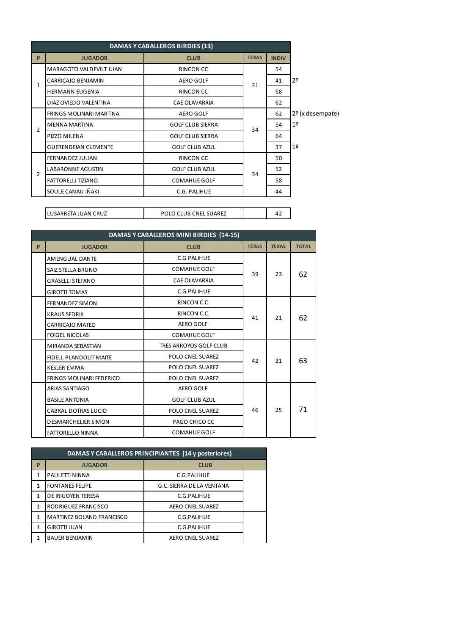| <b>DAMAS Y CABALLEROS BIRDIES (13)</b> |                                |                         |              |              |                    |
|----------------------------------------|--------------------------------|-------------------------|--------------|--------------|--------------------|
| P                                      | <b>JUGADOR</b>                 | <b>CLUB</b>             | <b>TEXAS</b> | <b>INDIV</b> |                    |
| $\mathbf{1}$                           | MARAGOTO VALDEVILT JUAN        | RINCON CC               |              | 54           |                    |
|                                        | CARRICAJO BENJAMIN             | <b>AERO GOLF</b>        | 31           | 41           | 2 <sup>0</sup>     |
|                                        | <b>HERMANN EUGENIA</b>         | RINCON CC               |              | 68           |                    |
|                                        | DIAZ OVIEDO VALENTINA          | <b>CAE OLAVARRIA</b>    |              | 62           |                    |
| $\overline{2}$                         | <b>FRINGS MOLINARI MARTINA</b> | <b>AERO GOLF</b>        |              | 62           | $2o$ (x desempate) |
|                                        | <b>MENNA MARTINA</b>           | <b>GOLF CLUB SIERRA</b> | 34           | 54           | 1 <sup>°</sup>     |
|                                        | PIZZO MILENA                   | <b>GOLF CLUB SIERRA</b> |              | 64           |                    |
|                                        | <b>GUERENDEIAN CLEMENTE</b>    | <b>GOLF CLUB AZUL</b>   |              | 37           | 1 <sup>°</sup>     |
|                                        | <b>FERNANDEZ JULIAN</b>        | RINCON CC               |              | 50           |                    |
| $\overline{2}$                         | <b>LABARONNE AGUSTIN</b>       | <b>GOLF CLUB AZUL</b>   | 34           | 52           |                    |
|                                        | <b>FATTORELLI TIZIANO</b>      | <b>COMAHUE GOLF</b>     |              | 58           |                    |
|                                        | SOULE CANAU IÑAKI              | C.G. PALIHUE            |              | 44           |                    |
|                                        |                                |                         |              |              |                    |

| DAMAS Y CABALLEROS MINI BIRDIES (14-15) |                                 |                         |              |              |              |  |
|-----------------------------------------|---------------------------------|-------------------------|--------------|--------------|--------------|--|
| P                                       | <b>JUGADOR</b>                  | <b>CLUB</b>             | <b>TEXAS</b> | <b>TEXAS</b> | <b>TOTAL</b> |  |
|                                         | <b>AMENGUAL DANTE</b>           | <b>C.G PALIHUE</b>      |              | 23           | 62           |  |
|                                         | SAIZ STELLA BRUNO               | <b>COMAHUE GOLF</b>     | 39           |              |              |  |
|                                         | <b>GRASELLI STEFANO</b>         | <b>CAE OLAVARRIA</b>    |              |              |              |  |
|                                         | <b>GIROTTI TOMAS</b>            | C.G PALIHUE             |              |              |              |  |
|                                         | <b>FERNANDEZ SIMON</b>          | RINCON C.C.             |              |              |              |  |
|                                         | <b>KRAUS SEDRIK</b>             | RINCON C.C.             | 41           | 21           | 62           |  |
|                                         | <b>CARRICAJO MATEO</b>          | <b>AERO GOLF</b>        |              |              |              |  |
|                                         | <b>FOIGEL NICOLAS</b>           | <b>COMAHUE GOLF</b>     |              |              |              |  |
|                                         | MIRANDA SEBASTIAN               | TRES ARROYOS GOLF CLUB  |              |              |              |  |
|                                         | <b>FIDELL PLANDOLIT MAITE</b>   | <b>POLO CNEL SUAREZ</b> | 42           | 21           | 63           |  |
|                                         | <b>KESLER EMMA</b>              | <b>POLO CNEL SUAREZ</b> |              |              |              |  |
|                                         | <b>FRINGS MOLINARI FEDERICO</b> | POLO CNEL SUAREZ        |              |              |              |  |
|                                         | ARIAS SANTIAGO                  | <b>AERO GOLF</b>        |              |              |              |  |
|                                         | <b>BASILE ANTONIA</b>           | <b>GOLF CLUB AZUL</b>   |              |              |              |  |
|                                         | <b>CABRAL DOTRAS LUCIO</b>      | <b>POLO CNEL SUAREZ</b> | 46           | 25           | 71           |  |
|                                         | <b>DESMARCHELIER SIMON</b>      | PAGO CHICO CC           |              |              |              |  |
|                                         | <b>FATTORELLO NINNA</b>         | <b>COMAHUE GOLF</b>     |              |              |              |  |

LUSARRETA JUAN CRUZ **POLO CLUB CNEL SUAREZ** 

| <b>DAMAS Y CABALLEROS PRINCIPIANTES (14 y posteriores)</b> |                                  |                           |  |  |  |
|------------------------------------------------------------|----------------------------------|---------------------------|--|--|--|
| P                                                          | <b>JUGADOR</b>                   | <b>CLUB</b>               |  |  |  |
|                                                            | PAULETTI NINNA                   | C.G.PALIHUE               |  |  |  |
|                                                            | <b>FONTANES FELIPE</b>           | G.C. SIERRA DE LA VENTANA |  |  |  |
|                                                            | DE IRIGOYEN TERESA               | C.G.PALIHUE               |  |  |  |
| 1                                                          | RODRIGUEZ FRANCISCO              | <b>AERO CNEL SUAREZ</b>   |  |  |  |
|                                                            | <b>MARTINEZ BOLAND FRANCISCO</b> | C.G.PALIHUE               |  |  |  |
|                                                            | <b>GIROTTI JUAN</b>              | C.G.PALIHUE               |  |  |  |
|                                                            | <b>BAUER BENJAMIN</b>            | <b>AERO CNEL SUAREZ</b>   |  |  |  |